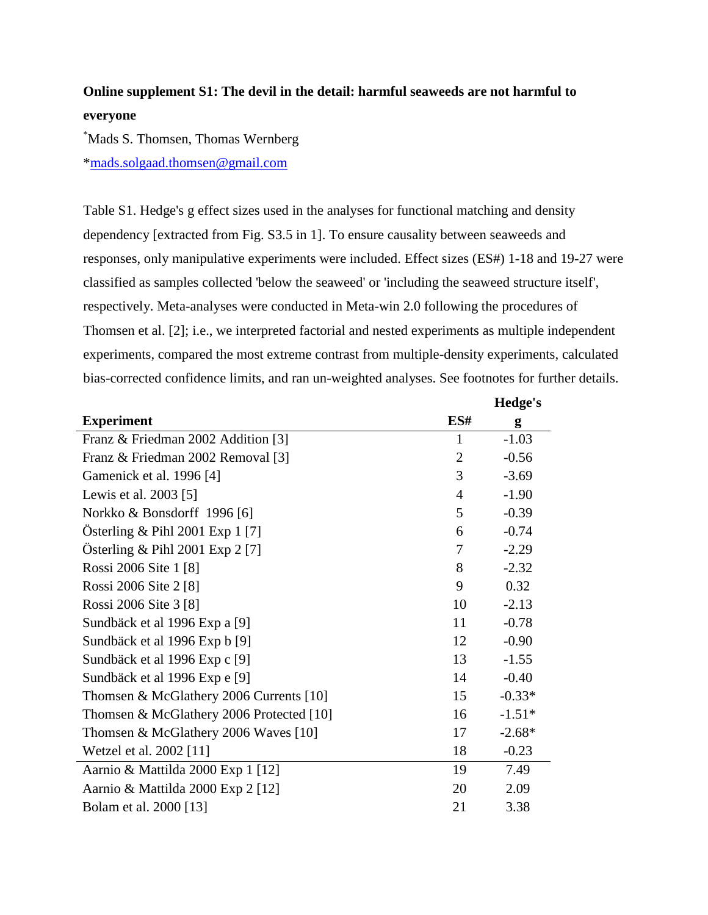## **Online supplement S1: The devil in the detail: harmful seaweeds are not harmful to everyone**

\*Mads S. Thomsen, Thomas Wernberg [\\*mads.solgaad.thomsen@gmail.com](mailto:mads.solgaad.thomsen@gmail.com)

Table S1. Hedge's g effect sizes used in the analyses for functional matching and density dependency [extracted from Fig. S3.5 in 1]. To ensure causality between seaweeds and responses, only manipulative experiments were included. Effect sizes (ES#) 1-18 and 19-27 were classified as samples collected 'below the seaweed' or 'including the seaweed structure itself', respectively. Meta-analyses were conducted in Meta-win 2.0 following the procedures of Thomsen et al. [2]; i.e., we interpreted factorial and nested experiments as multiple independent experiments, compared the most extreme contrast from multiple-density experiments, calculated bias-corrected confidence limits, and ran un-weighted analyses. See footnotes for further details.

|                                          |                | Hedge's  |
|------------------------------------------|----------------|----------|
| <b>Experiment</b>                        | ES#            | g        |
| Franz & Friedman 2002 Addition [3]       | $\mathbf{1}$   | $-1.03$  |
| Franz & Friedman 2002 Removal [3]        | $\overline{2}$ | $-0.56$  |
| Gamenick et al. 1996 [4]                 | 3              | $-3.69$  |
| Lewis et al. 2003 [5]                    | $\overline{4}$ | $-1.90$  |
| Norkko & Bonsdorff 1996 [6]              | 5              | $-0.39$  |
| Österling & Pihl 2001 Exp 1 [7]          | 6              | $-0.74$  |
| Österling & Pihl 2001 Exp 2 [7]          | 7              | $-2.29$  |
| Rossi 2006 Site 1 [8]                    | 8              | $-2.32$  |
| Rossi 2006 Site 2 [8]                    | 9              | 0.32     |
| Rossi 2006 Site 3 [8]                    | 10             | $-2.13$  |
| Sundbäck et al 1996 Exp a [9]            | 11             | $-0.78$  |
| Sundbäck et al 1996 Exp b [9]            | 12             | $-0.90$  |
| Sundbäck et al 1996 Exp c [9]            | 13             | $-1.55$  |
| Sundbäck et al 1996 Exp e [9]            | 14             | $-0.40$  |
| Thomsen & McGlathery 2006 Currents [10]  | 15             | $-0.33*$ |
| Thomsen & McGlathery 2006 Protected [10] | 16             | $-1.51*$ |
| Thomsen & McGlathery 2006 Waves [10]     | 17             | $-2.68*$ |
| Wetzel et al. 2002 [11]                  | 18             | $-0.23$  |
| Aarnio & Mattilda 2000 Exp 1 [12]        | 19             | 7.49     |
| Aarnio & Mattilda 2000 Exp 2 [12]        | 20             | 2.09     |
| Bolam et al. 2000 [13]                   | 21             | 3.38     |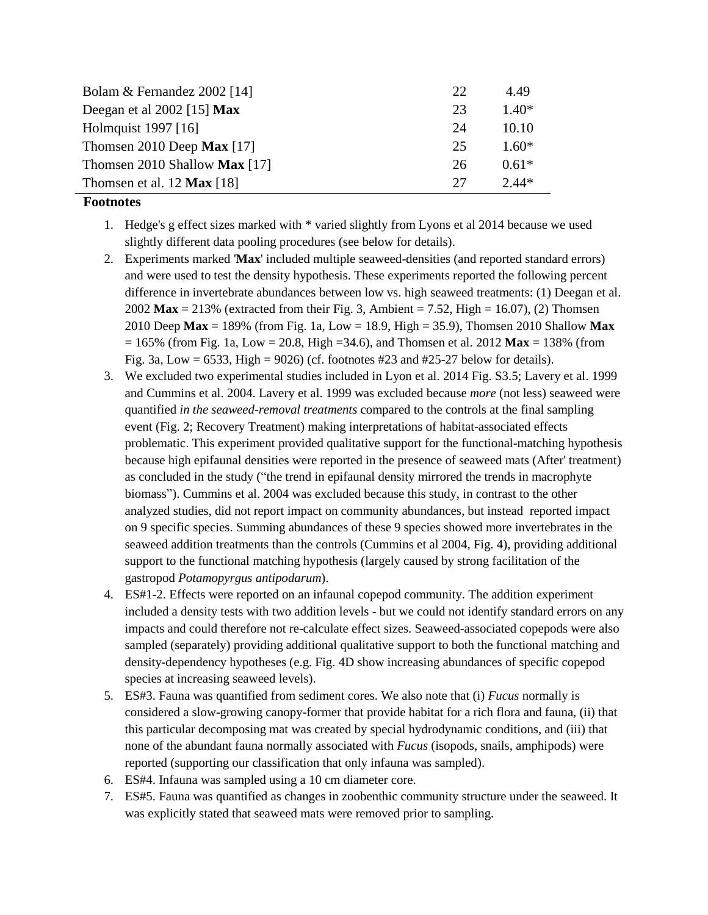| Bolam & Fernandez 2002 [14]          | 22 | 4.49    |
|--------------------------------------|----|---------|
| Deegan et al $2002$ [15] Max         | 23 | $1.40*$ |
| Holmquist 1997 [16]                  | 24 | 10.10   |
| Thomsen 2010 Deep Max [17]           | 25 | $1.60*$ |
| Thomsen 2010 Shallow <b>Max</b> [17] | 26 | $0.61*$ |
| Thomsen et al. 12 $Max [18]$         | 27 | $2.44*$ |

## **Footnotes**

- 1. Hedge's g effect sizes marked with \* varied slightly from Lyons et al 2014 because we used slightly different data pooling procedures (see below for details).
- 2. Experiments marked '**Max**' included multiple seaweed-densities (and reported standard errors) and were used to test the density hypothesis. These experiments reported the following percent difference in invertebrate abundances between low vs. high seaweed treatments: (1) Deegan et al. 2002 **Max** = 213% (extracted from their Fig. 3, Ambient = 7.52, High = 16.07), (2) Thomsen 2010 Deep **Max** = 189% (from Fig. 1a, Low = 18.9, High = 35.9), Thomsen 2010 Shallow **Max**  $= 165\%$  (from Fig. 1a, Low  $= 20.8$ , High  $= 34.6$ ), and Thomsen et al. 2012 **Max**  $= 138\%$  (from Fig. 3a, Low = 6533, High = 9026) (cf. footnotes  $\#23$  and  $\#25-27$  below for details).
- 3. We excluded two experimental studies included in Lyon et al. 2014 Fig. S3.5; Lavery et al. 1999 and Cummins et al. 2004. Lavery et al. 1999 was excluded because *more* (not less) seaweed were quantified *in the seaweed-removal treatments* compared to the controls at the final sampling event (Fig. 2; Recovery Treatment) making interpretations of habitat-associated effects problematic. This experiment provided qualitative support for the functional-matching hypothesis because high epifaunal densities were reported in the presence of seaweed mats (After' treatment) as concluded in the study ("the trend in epifaunal density mirrored the trends in macrophyte biomass"). Cummins et al. 2004 was excluded because this study, in contrast to the other analyzed studies, did not report impact on community abundances, but instead reported impact on 9 specific species. Summing abundances of these 9 species showed more invertebrates in the seaweed addition treatments than the controls (Cummins et al 2004, Fig. 4), providing additional support to the functional matching hypothesis (largely caused by strong facilitation of the gastropod *Potamopyrgus antipodarum*).
- 4. ES#1-2. Effects were reported on an infaunal copepod community. The addition experiment included a density tests with two addition levels - but we could not identify standard errors on any impacts and could therefore not re-calculate effect sizes. Seaweed-associated copepods were also sampled (separately) providing additional qualitative support to both the functional matching and density-dependency hypotheses (e.g. Fig. 4D show increasing abundances of specific copepod species at increasing seaweed levels).
- 5. ES#3. Fauna was quantified from sediment cores. We also note that (i) *Fucus* normally is considered a slow-growing canopy-former that provide habitat for a rich flora and fauna, (ii) that this particular decomposing mat was created by special hydrodynamic conditions, and (iii) that none of the abundant fauna normally associated with *Fucus* (isopods, snails, amphipods) were reported (supporting our classification that only infauna was sampled).
- 6. ES#4. Infauna was sampled using a 10 cm diameter core.
- 7. ES#5. Fauna was quantified as changes in zoobenthic community structure under the seaweed. It was explicitly stated that seaweed mats were removed prior to sampling.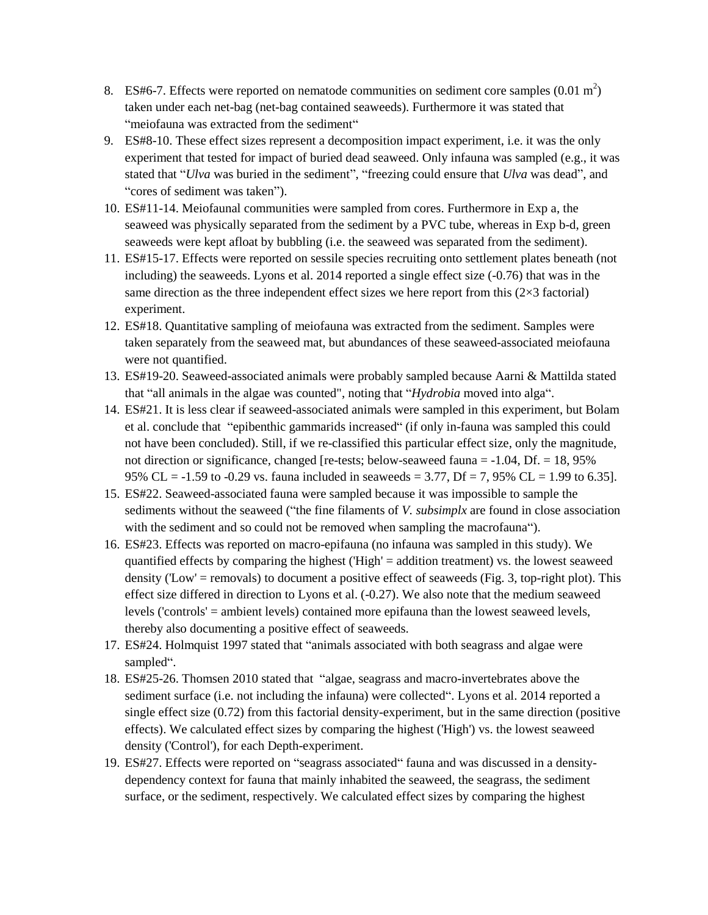- 8. ES#6-7. Effects were reported on nematode communities on sediment core samples  $(0.01 \text{ m}^2)$ taken under each net-bag (net-bag contained seaweeds). Furthermore it was stated that "meiofauna was extracted from the sediment"
- 9. ES#8-10. These effect sizes represent a decomposition impact experiment, i.e. it was the only experiment that tested for impact of buried dead seaweed. Only infauna was sampled (e.g., it was stated that "*Ulva* was buried in the sediment", "freezing could ensure that *Ulva* was dead", and "cores of sediment was taken").
- 10. ES#11-14. Meiofaunal communities were sampled from cores. Furthermore in Exp a, the seaweed was physically separated from the sediment by a PVC tube, whereas in Exp b-d, green seaweeds were kept afloat by bubbling (i.e. the seaweed was separated from the sediment).
- 11. ES#15-17. Effects were reported on sessile species recruiting onto settlement plates beneath (not including) the seaweeds. Lyons et al. 2014 reported a single effect size (-0.76) that was in the same direction as the three independent effect sizes we here report from this  $(2\times3$  factorial) experiment.
- 12. ES#18. Quantitative sampling of meiofauna was extracted from the sediment. Samples were taken separately from the seaweed mat, but abundances of these seaweed-associated meiofauna were not quantified.
- 13. ES#19-20. Seaweed-associated animals were probably sampled because Aarni & Mattilda stated that "all animals in the algae was counted", noting that "*Hydrobia* moved into alga".
- 14. ES#21. It is less clear if seaweed-associated animals were sampled in this experiment, but Bolam et al. conclude that "epibenthic gammarids increased" (if only in-fauna was sampled this could not have been concluded). Still, if we re-classified this particular effect size, only the magnitude, not direction or significance, changed [re-tests; below-seaweed fauna  $= -1.04$ , Df.  $= 18,95\%$ 95% CL = -1.59 to -0.29 vs. fauna included in seaweeds = 3.77, Df = 7, 95% CL = 1.99 to 6.35].
- 15. ES#22. Seaweed-associated fauna were sampled because it was impossible to sample the sediments without the seaweed ("the fine filaments of *V. subsimplx* are found in close association with the sediment and so could not be removed when sampling the macrofauna").
- 16. ES#23. Effects was reported on macro-epifauna (no infauna was sampled in this study). We quantified effects by comparing the highest ('High' = addition treatment) vs. the lowest seaweed density ('Low' = removals) to document a positive effect of seaweeds (Fig. 3, top-right plot). This effect size differed in direction to Lyons et al. (-0.27). We also note that the medium seaweed levels ('controls' = ambient levels) contained more epifauna than the lowest seaweed levels, thereby also documenting a positive effect of seaweeds.
- 17. ES#24. Holmquist 1997 stated that "animals associated with both seagrass and algae were sampled".
- 18. ES#25-26. Thomsen 2010 stated that "algae, seagrass and macro-invertebrates above the sediment surface (i.e. not including the infauna) were collected". Lyons et al. 2014 reported a single effect size (0.72) from this factorial density-experiment, but in the same direction (positive effects). We calculated effect sizes by comparing the highest ('High') vs. the lowest seaweed density ('Control'), for each Depth-experiment.
- 19. ES#27. Effects were reported on "seagrass associated" fauna and was discussed in a densitydependency context for fauna that mainly inhabited the seaweed, the seagrass, the sediment surface, or the sediment, respectively. We calculated effect sizes by comparing the highest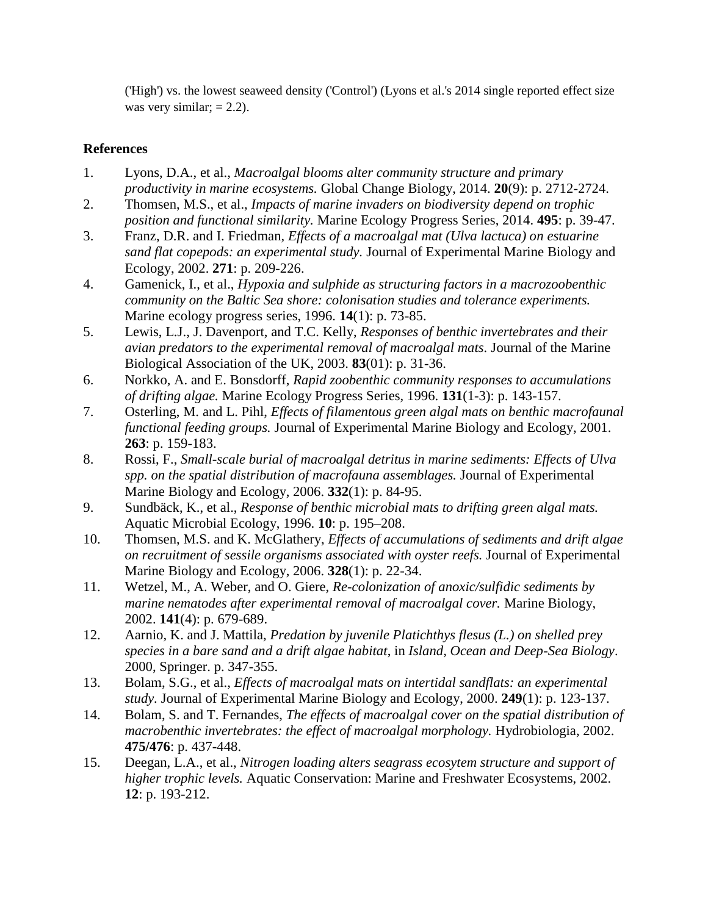('High') vs. the lowest seaweed density ('Control') (Lyons et al.'s 2014 single reported effect size was very similar;  $= 2.2$ ).

## **References**

- 1. Lyons, D.A., et al., *Macroalgal blooms alter community structure and primary productivity in marine ecosystems.* Global Change Biology, 2014. **20**(9): p. 2712-2724.
- 2. Thomsen, M.S., et al., *Impacts of marine invaders on biodiversity depend on trophic position and functional similarity.* Marine Ecology Progress Series, 2014. **495**: p. 39-47.
- 3. Franz, D.R. and I. Friedman, *Effects of a macroalgal mat (Ulva lactuca) on estuarine sand flat copepods: an experimental study.* Journal of Experimental Marine Biology and Ecology, 2002. **271**: p. 209-226.
- 4. Gamenick, I., et al., *Hypoxia and sulphide as structuring factors in a macrozoobenthic community on the Baltic Sea shore: colonisation studies and tolerance experiments.* Marine ecology progress series, 1996. **14**(1): p. 73-85.
- 5. Lewis, L.J., J. Davenport, and T.C. Kelly, *Responses of benthic invertebrates and their avian predators to the experimental removal of macroalgal mats.* Journal of the Marine Biological Association of the UK, 2003. **83**(01): p. 31-36.
- 6. Norkko, A. and E. Bonsdorff, *Rapid zoobenthic community responses to accumulations of drifting algae.* Marine Ecology Progress Series, 1996. **131**(1-3): p. 143-157.
- 7. Osterling, M. and L. Pihl, *Effects of filamentous green algal mats on benthic macrofaunal functional feeding groups.* Journal of Experimental Marine Biology and Ecology, 2001. **263**: p. 159-183.
- 8. Rossi, F., *Small-scale burial of macroalgal detritus in marine sediments: Effects of Ulva spp. on the spatial distribution of macrofauna assemblages.* Journal of Experimental Marine Biology and Ecology, 2006. **332**(1): p. 84-95.
- 9. Sundbäck, K., et al., *Response of benthic microbial mats to drifting green algal mats.* Aquatic Microbial Ecology, 1996. **10**: p. 195–208.
- 10. Thomsen, M.S. and K. McGlathery, *Effects of accumulations of sediments and drift algae on recruitment of sessile organisms associated with oyster reefs.* Journal of Experimental Marine Biology and Ecology, 2006. **328**(1): p. 22-34.
- 11. Wetzel, M., A. Weber, and O. Giere, *Re-colonization of anoxic/sulfidic sediments by marine nematodes after experimental removal of macroalgal cover.* Marine Biology, 2002. **141**(4): p. 679-689.
- 12. Aarnio, K. and J. Mattila, *Predation by juvenile Platichthys flesus (L.) on shelled prey species in a bare sand and a drift algae habitat*, in *Island, Ocean and Deep-Sea Biology*. 2000, Springer. p. 347-355.
- 13. Bolam, S.G., et al., *Effects of macroalgal mats on intertidal sandflats: an experimental study.* Journal of Experimental Marine Biology and Ecology, 2000. **249**(1): p. 123-137.
- 14. Bolam, S. and T. Fernandes, *The effects of macroalgal cover on the spatial distribution of macrobenthic invertebrates: the effect of macroalgal morphology.* Hydrobiologia, 2002. **475/476**: p. 437-448.
- 15. Deegan, L.A., et al., *Nitrogen loading alters seagrass ecosytem structure and support of higher trophic levels.* Aquatic Conservation: Marine and Freshwater Ecosystems, 2002. **12**: p. 193-212.